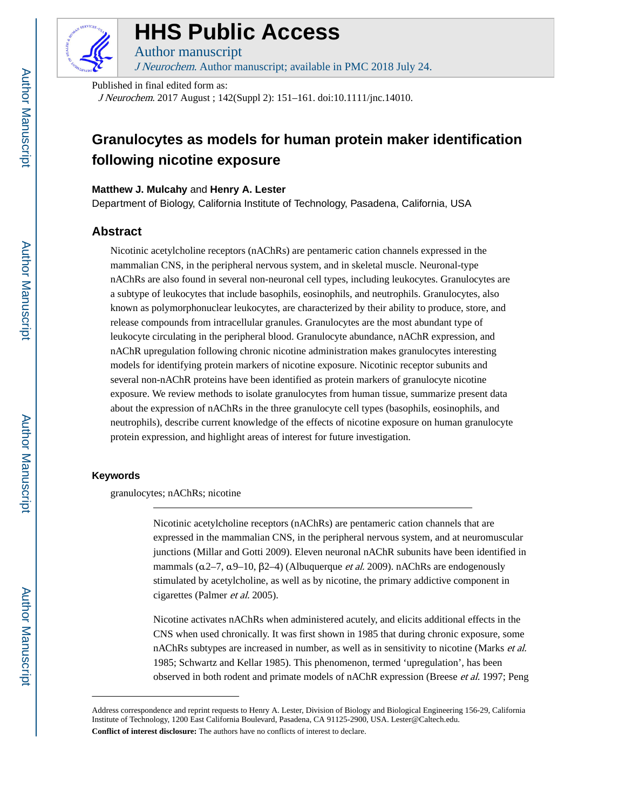

## **HHS Public Access**

Author manuscript J Neurochem. Author manuscript; available in PMC 2018 July 24.

Published in final edited form as:

J Neurochem. 2017 August ; 142(Suppl 2): 151–161. doi:10.1111/jnc.14010.

### **Granulocytes as models for human protein maker identification following nicotine exposure**

#### **Matthew J. Mulcahy** and **Henry A. Lester**

Department of Biology, California Institute of Technology, Pasadena, California, USA

#### **Abstract**

Nicotinic acetylcholine receptors (nAChRs) are pentameric cation channels expressed in the mammalian CNS, in the peripheral nervous system, and in skeletal muscle. Neuronal-type nAChRs are also found in several non-neuronal cell types, including leukocytes. Granulocytes are a subtype of leukocytes that include basophils, eosinophils, and neutrophils. Granulocytes, also known as polymorphonuclear leukocytes, are characterized by their ability to produce, store, and release compounds from intracellular granules. Granulocytes are the most abundant type of leukocyte circulating in the peripheral blood. Granulocyte abundance, nAChR expression, and nAChR upregulation following chronic nicotine administration makes granulocytes interesting models for identifying protein markers of nicotine exposure. Nicotinic receptor subunits and several non-nAChR proteins have been identified as protein markers of granulocyte nicotine exposure. We review methods to isolate granulocytes from human tissue, summarize present data about the expression of nAChRs in the three granulocyte cell types (basophils, eosinophils, and neutrophils), describe current knowledge of the effects of nicotine exposure on human granulocyte protein expression, and highlight areas of interest for future investigation.

#### **Keywords**

granulocytes; nAChRs; nicotine

Nicotinic acetylcholine receptors (nAChRs) are pentameric cation channels that are expressed in the mammalian CNS, in the peripheral nervous system, and at neuromuscular junctions (Millar and Gotti 2009). Eleven neuronal nAChR subunits have been identified in mammals ( $\alpha$ 2–7,  $\alpha$ 9–10,  $\beta$ 2–4) (Albuquerque *et al.* 2009). nAChRs are endogenously stimulated by acetylcholine, as well as by nicotine, the primary addictive component in cigarettes (Palmer et al. 2005).

Nicotine activates nAChRs when administered acutely, and elicits additional effects in the CNS when used chronically. It was first shown in 1985 that during chronic exposure, some nAChRs subtypes are increased in number, as well as in sensitivity to nicotine (Marks et al. 1985; Schwartz and Kellar 1985). This phenomenon, termed 'upregulation', has been observed in both rodent and primate models of nAChR expression (Breese et al. 1997; Peng

Address correspondence and reprint requests to Henry A. Lester, Division of Biology and Biological Engineering 156-29, California Institute of Technology, 1200 East California Boulevard, Pasadena, CA 91125-2900, USA. Lester@Caltech.edu. **Conflict of interest disclosure:** The authors have no conflicts of interest to declare.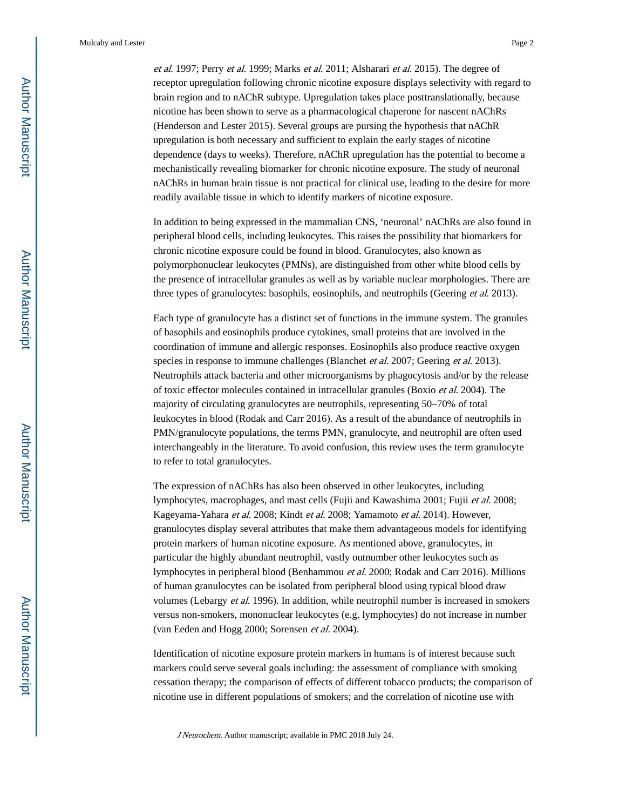et al. 1997; Perry et al. 1999; Marks et al. 2011; Alsharari et al. 2015). The degree of receptor upregulation following chronic nicotine exposure displays selectivity with regard to brain region and to nAChR subtype. Upregulation takes place posttranslationally, because nicotine has been shown to serve as a pharmacological chaperone for nascent nAChRs (Henderson and Lester 2015). Several groups are pursing the hypothesis that nAChR upregulation is both necessary and sufficient to explain the early stages of nicotine dependence (days to weeks). Therefore, nAChR upregulation has the potential to become a mechanistically revealing biomarker for chronic nicotine exposure. The study of neuronal nAChRs in human brain tissue is not practical for clinical use, leading to the desire for more readily available tissue in which to identify markers of nicotine exposure.

In addition to being expressed in the mammalian CNS, 'neuronal' nAChRs are also found in peripheral blood cells, including leukocytes. This raises the possibility that biomarkers for chronic nicotine exposure could be found in blood. Granulocytes, also known as polymorphonuclear leukocytes (PMNs), are distinguished from other white blood cells by the presence of intracellular granules as well as by variable nuclear morphologies. There are three types of granulocytes: basophils, eosinophils, and neutrophils (Geering et al. 2013).

Each type of granulocyte has a distinct set of functions in the immune system. The granules of basophils and eosinophils produce cytokines, small proteins that are involved in the coordination of immune and allergic responses. Eosinophils also produce reactive oxygen species in response to immune challenges (Blanchet *et al.* 2007; Geering *et al.* 2013). Neutrophils attack bacteria and other microorganisms by phagocytosis and/or by the release of toxic effector molecules contained in intracellular granules (Boxio et al. 2004). The majority of circulating granulocytes are neutrophils, representing 50–70% of total leukocytes in blood (Rodak and Carr 2016). As a result of the abundance of neutrophils in PMN/granulocyte populations, the terms PMN, granulocyte, and neutrophil are often used interchangeably in the literature. To avoid confusion, this review uses the term granulocyte to refer to total granulocytes.

The expression of nAChRs has also been observed in other leukocytes, including lymphocytes, macrophages, and mast cells (Fujii and Kawashima 2001; Fujii et al. 2008; Kageyama-Yahara et al. 2008; Kindt et al. 2008; Yamamoto et al. 2014). However, granulocytes display several attributes that make them advantageous models for identifying protein markers of human nicotine exposure. As mentioned above, granulocytes, in particular the highly abundant neutrophil, vastly outnumber other leukocytes such as lymphocytes in peripheral blood (Benhammou et al. 2000; Rodak and Carr 2016). Millions of human granulocytes can be isolated from peripheral blood using typical blood draw volumes (Lebargy et al. 1996). In addition, while neutrophil number is increased in smokers versus non-smokers, mononuclear leukocytes (e.g. lymphocytes) do not increase in number (van Eeden and Hogg 2000; Sorensen et al. 2004).

Identification of nicotine exposure protein markers in humans is of interest because such markers could serve several goals including: the assessment of compliance with smoking cessation therapy; the comparison of effects of different tobacco products; the comparison of nicotine use in different populations of smokers; and the correlation of nicotine use with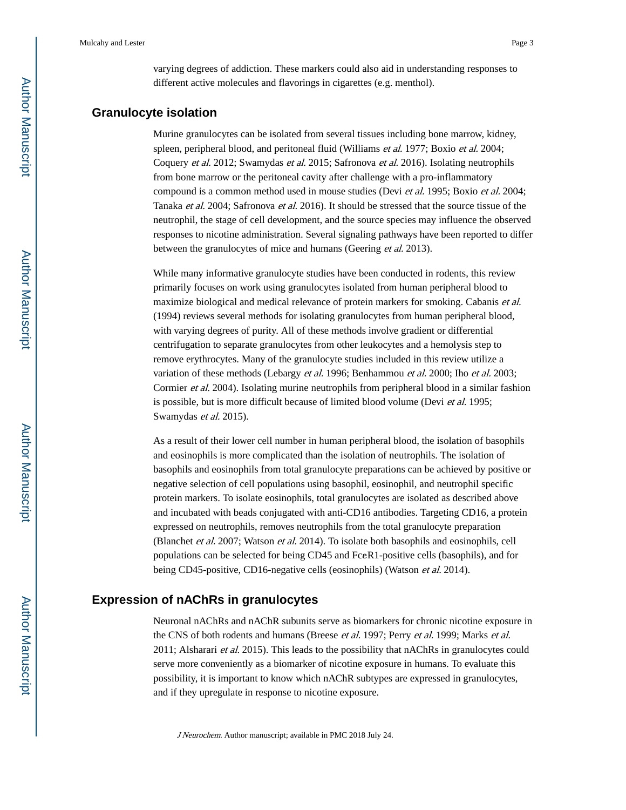varying degrees of addiction. These markers could also aid in understanding responses to different active molecules and flavorings in cigarettes (e.g. menthol).

#### **Granulocyte isolation**

Murine granulocytes can be isolated from several tissues including bone marrow, kidney, spleen, peripheral blood, and peritoneal fluid (Williams et al. 1977; Boxio et al. 2004; Coquery et al. 2012; Swamydas et al. 2015; Safronova et al. 2016). Isolating neutrophils from bone marrow or the peritoneal cavity after challenge with a pro-inflammatory compound is a common method used in mouse studies (Devi et al. 1995; Boxio et al. 2004; Tanaka et al. 2004; Safronova et al. 2016). It should be stressed that the source tissue of the neutrophil, the stage of cell development, and the source species may influence the observed responses to nicotine administration. Several signaling pathways have been reported to differ between the granulocytes of mice and humans (Geering et al. 2013).

While many informative granulocyte studies have been conducted in rodents, this review primarily focuses on work using granulocytes isolated from human peripheral blood to maximize biological and medical relevance of protein markers for smoking. Cabanis *et al.* (1994) reviews several methods for isolating granulocytes from human peripheral blood, with varying degrees of purity. All of these methods involve gradient or differential centrifugation to separate granulocytes from other leukocytes and a hemolysis step to remove erythrocytes. Many of the granulocyte studies included in this review utilize a variation of these methods (Lebargy et al. 1996; Benhammou et al. 2000; Iho et al. 2003; Cormier et al. 2004). Isolating murine neutrophils from peripheral blood in a similar fashion is possible, but is more difficult because of limited blood volume (Devi et al. 1995; Swamydas et al. 2015).

As a result of their lower cell number in human peripheral blood, the isolation of basophils and eosinophils is more complicated than the isolation of neutrophils. The isolation of basophils and eosinophils from total granulocyte preparations can be achieved by positive or negative selection of cell populations using basophil, eosinophil, and neutrophil specific protein markers. To isolate eosinophils, total granulocytes are isolated as described above and incubated with beads conjugated with anti-CD16 antibodies. Targeting CD16, a protein expressed on neutrophils, removes neutrophils from the total granulocyte preparation (Blanchet et al. 2007; Watson et al. 2014). To isolate both basophils and eosinophils, cell populations can be selected for being CD45 and FcεR1-positive cells (basophils), and for being CD45-positive, CD16-negative cells (eosinophils) (Watson et al. 2014).

#### **Expression of nAChRs in granulocytes**

Neuronal nAChRs and nAChR subunits serve as biomarkers for chronic nicotine exposure in the CNS of both rodents and humans (Breese et al. 1997; Perry et al. 1999; Marks et al. 2011; Alsharari et al. 2015). This leads to the possibility that nAChRs in granulocytes could serve more conveniently as a biomarker of nicotine exposure in humans. To evaluate this possibility, it is important to know which nAChR subtypes are expressed in granulocytes, and if they upregulate in response to nicotine exposure.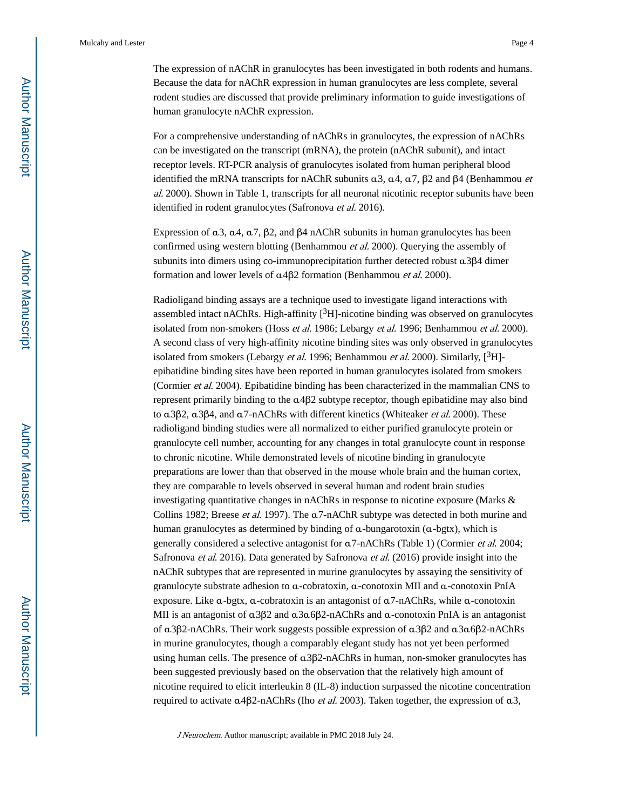The expression of nAChR in granulocytes has been investigated in both rodents and humans. Because the data for nAChR expression in human granulocytes are less complete, several rodent studies are discussed that provide preliminary information to guide investigations of human granulocyte nAChR expression.

For a comprehensive understanding of nAChRs in granulocytes, the expression of nAChRs can be investigated on the transcript (mRNA), the protein (nAChR subunit), and intact receptor levels. RT-PCR analysis of granulocytes isolated from human peripheral blood identified the mRNA transcripts for nAChR subunits  $α3$ ,  $α4$ ,  $α7$ ,  $β2$  and  $β4$  (Benhammou *et* al. 2000). Shown in Table 1, transcripts for all neuronal nicotinic receptor subunits have been identified in rodent granulocytes (Safronova et al. 2016).

Expression of  $\alpha$ 3,  $\alpha$ 4,  $\alpha$ 7,  $\beta$ 2, and  $\beta$ 4 nAChR subunits in human granulocytes has been confirmed using western blotting (Benhammou et al. 2000). Querying the assembly of subunits into dimers using co-immunoprecipitation further detected robust α3β4 dimer formation and lower levels of α4β2 formation (Benhammou et al. 2000).

Radioligand binding assays are a technique used to investigate ligand interactions with assembled intact nAChRs. High-affinity  $[{}^{3}H]$ -nicotine binding was observed on granulocytes isolated from non-smokers (Hoss et al. 1986; Lebargy et al. 1996; Benhammou et al. 2000). A second class of very high-affinity nicotine binding sites was only observed in granulocytes isolated from smokers (Lebargy *et al.* 1996; Benhammou *et al.* 2000). Similarly,  $[^{3}H]$ epibatidine binding sites have been reported in human granulocytes isolated from smokers (Cormier et al. 2004). Epibatidine binding has been characterized in the mammalian CNS to represent primarily binding to the α4β2 subtype receptor, though epibatidine may also bind to  $\alpha$ 3β2,  $\alpha$ 3β4, and  $\alpha$ 7-nAChRs with different kinetics (Whiteaker *et al.* 2000). These radioligand binding studies were all normalized to either purified granulocyte protein or granulocyte cell number, accounting for any changes in total granulocyte count in response to chronic nicotine. While demonstrated levels of nicotine binding in granulocyte preparations are lower than that observed in the mouse whole brain and the human cortex, they are comparable to levels observed in several human and rodent brain studies investigating quantitative changes in nAChRs in response to nicotine exposure (Marks & Collins 1982; Breese et al. 1997). The α7-nAChR subtype was detected in both murine and human granulocytes as determined by binding of α-bungarotoxin (α-bgtx), which is generally considered a selective antagonist for α7-nAChRs (Table 1) (Cormier et al. 2004; Safronova et al. 2016). Data generated by Safronova et al. (2016) provide insight into the nAChR subtypes that are represented in murine granulocytes by assaying the sensitivity of granulocyte substrate adhesion to α-cobratoxin, α-conotoxin MII and α-conotoxin PnIA exposure. Like α-bgtx, α-cobratoxin is an antagonist of α7-nAChRs, while α-conotoxin MII is an antagonist of α3β2 and α3α6β2-nAChRs and α-conotoxin PnIA is an antagonist of α3β2-nAChRs. Their work suggests possible expression of α3β2 and α3α6β2-nAChRs in murine granulocytes, though a comparably elegant study has not yet been performed using human cells. The presence of α3β2-nAChRs in human, non-smoker granulocytes has been suggested previously based on the observation that the relatively high amount of nicotine required to elicit interleukin 8 (IL-8) induction surpassed the nicotine concentration required to activate  $α4β2-nAChRs$  (Iho *et al.* 2003). Taken together, the expression of  $α3$ ,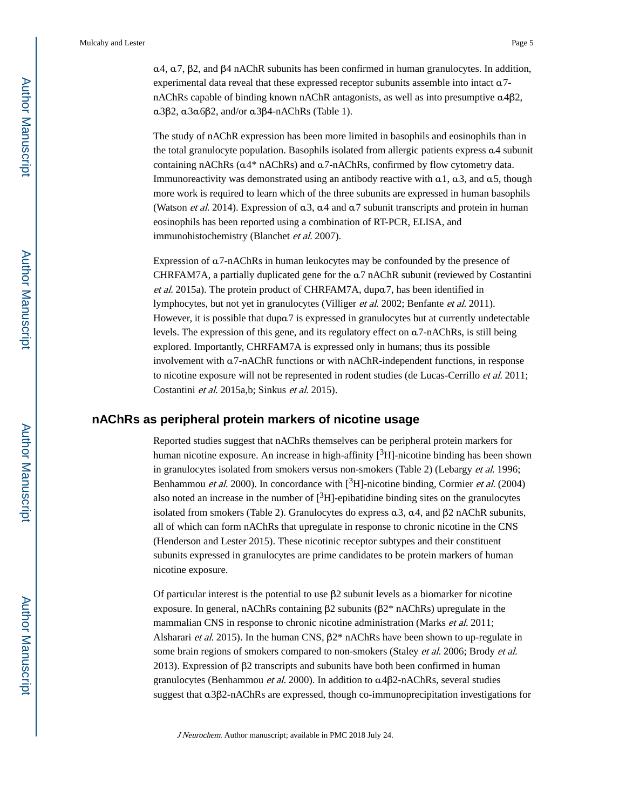α4, α7, β2, and β4 nAChR subunits has been confirmed in human granulocytes. In addition, experimental data reveal that these expressed receptor subunits assemble into intact α7 nAChRs capable of binding known nAChR antagonists, as well as into presumptive α4β2, α3β2, α3α6β2, and/or α3β4-nAChRs (Table 1).

The study of nAChR expression has been more limited in basophils and eosinophils than in the total granulocyte population. Basophils isolated from allergic patients express α4 subunit containing nAChRs (α4\* nAChRs) and α7-nAChRs, confirmed by flow cytometry data. Immunoreactivity was demonstrated using an antibody reactive with  $a1$ ,  $a3$ , and  $a5$ , though more work is required to learn which of the three subunits are expressed in human basophils (Watson *et al.* 2014). Expression of  $\alpha$ 3,  $\alpha$ 4 and  $\alpha$ 7 subunit transcripts and protein in human eosinophils has been reported using a combination of RT-PCR, ELISA, and immunohistochemistry (Blanchet et al. 2007).

Expression of α7-nAChRs in human leukocytes may be confounded by the presence of CHRFAM7A, a partially duplicated gene for the α7 nAChR subunit (reviewed by Costantini et al. 2015a). The protein product of CHRFAM7A, dupα7, has been identified in lymphocytes, but not yet in granulocytes (Villiger et al. 2002; Benfante et al. 2011). However, it is possible that dupα7 is expressed in granulocytes but at currently undetectable levels. The expression of this gene, and its regulatory effect on α7-nAChRs, is still being explored. Importantly, CHRFAM7A is expressed only in humans; thus its possible involvement with α7-nAChR functions or with nAChR-independent functions, in response to nicotine exposure will not be represented in rodent studies (de Lucas-Cerrillo et al. 2011; Costantini et al. 2015a,b; Sinkus et al. 2015).

#### **nAChRs as peripheral protein markers of nicotine usage**

Reported studies suggest that nAChRs themselves can be peripheral protein markers for human nicotine exposure. An increase in high-affinity  $[3H]$ -nicotine binding has been shown in granulocytes isolated from smokers versus non-smokers (Table 2) (Lebargy et al. 1996; Benhammou et al. 2000). In concordance with  $[3H]$ -nicotine binding, Cormier et al. (2004) also noted an increase in the number of  $\binom{3}{1}$ -epibatidine binding sites on the granulocytes isolated from smokers (Table 2). Granulocytes do express  $\alpha$ 3,  $\alpha$ 4, and β2 nAChR subunits, all of which can form nAChRs that upregulate in response to chronic nicotine in the CNS (Henderson and Lester 2015). These nicotinic receptor subtypes and their constituent subunits expressed in granulocytes are prime candidates to be protein markers of human nicotine exposure.

Of particular interest is the potential to use β2 subunit levels as a biomarker for nicotine exposure. In general, nAChRs containing β2 subunits (β2\* nAChRs) upregulate in the mammalian CNS in response to chronic nicotine administration (Marks *et al.* 2011; Alsharari *et al.* 2015). In the human CNS,  $\beta$ 2<sup>\*</sup> nAChRs have been shown to up-regulate in some brain regions of smokers compared to non-smokers (Staley et al. 2006; Brody et al. 2013). Expression of  $\beta$ 2 transcripts and subunits have both been confirmed in human granulocytes (Benhammou et al. 2000). In addition to α4β2-nAChRs, several studies suggest that α3β2-nAChRs are expressed, though co-immunoprecipitation investigations for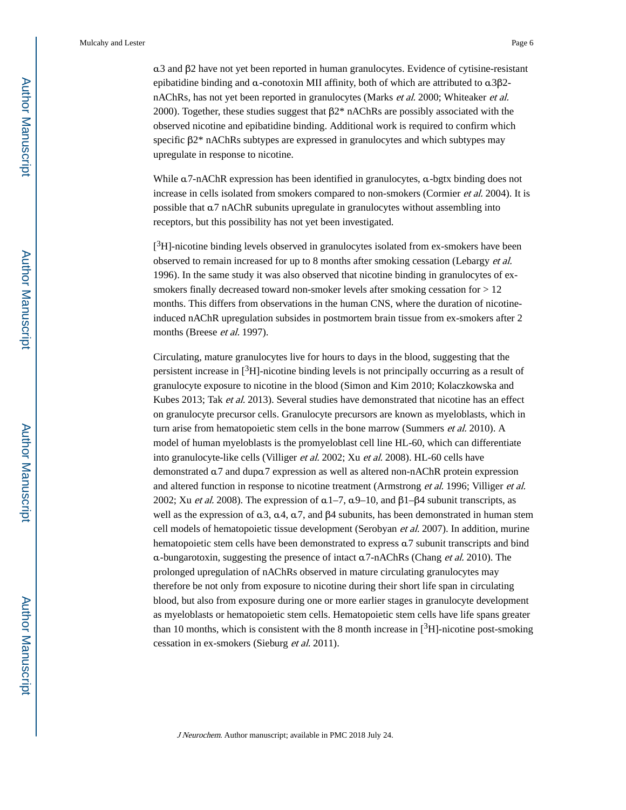α3 and β2 have not yet been reported in human granulocytes. Evidence of cytisine-resistant epibatidine binding and  $\alpha$ -conotoxin MII affinity, both of which are attributed to  $\alpha$ 3 $\beta$ 2nAChRs, has not yet been reported in granulocytes (Marks et al. 2000; Whiteaker et al. 2000). Together, these studies suggest that β2\* nAChRs are possibly associated with the observed nicotine and epibatidine binding. Additional work is required to confirm which specific β2<sup>\*</sup> nAChRs subtypes are expressed in granulocytes and which subtypes may upregulate in response to nicotine.

While α7-nAChR expression has been identified in granulocytes, α-bgtx binding does not increase in cells isolated from smokers compared to non-smokers (Cormier et al. 2004). It is possible that α7 nAChR subunits upregulate in granulocytes without assembling into receptors, but this possibility has not yet been investigated.

[<sup>3</sup>H]-nicotine binding levels observed in granulocytes isolated from ex-smokers have been observed to remain increased for up to 8 months after smoking cessation (Lebargy et al. 1996). In the same study it was also observed that nicotine binding in granulocytes of exsmokers finally decreased toward non-smoker levels after smoking cessation for > 12 months. This differs from observations in the human CNS, where the duration of nicotineinduced nAChR upregulation subsides in postmortem brain tissue from ex-smokers after 2 months (Breese et al. 1997).

Circulating, mature granulocytes live for hours to days in the blood, suggesting that the persistent increase in  $\binom{3}{1}$ -nicotine binding levels is not principally occurring as a result of granulocyte exposure to nicotine in the blood (Simon and Kim 2010; Kolaczkowska and Kubes 2013; Tak et al. 2013). Several studies have demonstrated that nicotine has an effect on granulocyte precursor cells. Granulocyte precursors are known as myeloblasts, which in turn arise from hematopoietic stem cells in the bone marrow (Summers *et al.* 2010). A model of human myeloblasts is the promyeloblast cell line HL-60, which can differentiate into granulocyte-like cells (Villiger et al. 2002; Xu et al. 2008). HL-60 cells have demonstrated α7 and dupα7 expression as well as altered non-nAChR protein expression and altered function in response to nicotine treatment (Armstrong et al. 1996; Villiger et al. 2002; Xu et al. 2008). The expression of  $α1–7$ ,  $α9–10$ , and  $β1–β4$  subunit transcripts, as well as the expression of  $α3$ ,  $α4$ ,  $α7$ , and  $β4$  subunits, has been demonstrated in human stem cell models of hematopoietic tissue development (Serobyan et al. 2007). In addition, murine hematopoietic stem cells have been demonstrated to express α7 subunit transcripts and bind α-bungarotoxin, suggesting the presence of intact α7-nAChRs (Chang et al. 2010). The prolonged upregulation of nAChRs observed in mature circulating granulocytes may therefore be not only from exposure to nicotine during their short life span in circulating blood, but also from exposure during one or more earlier stages in granulocyte development as myeloblasts or hematopoietic stem cells. Hematopoietic stem cells have life spans greater than 10 months, which is consistent with the 8 month increase in  $[3H]$ -nicotine post-smoking cessation in ex-smokers (Sieburg et al. 2011).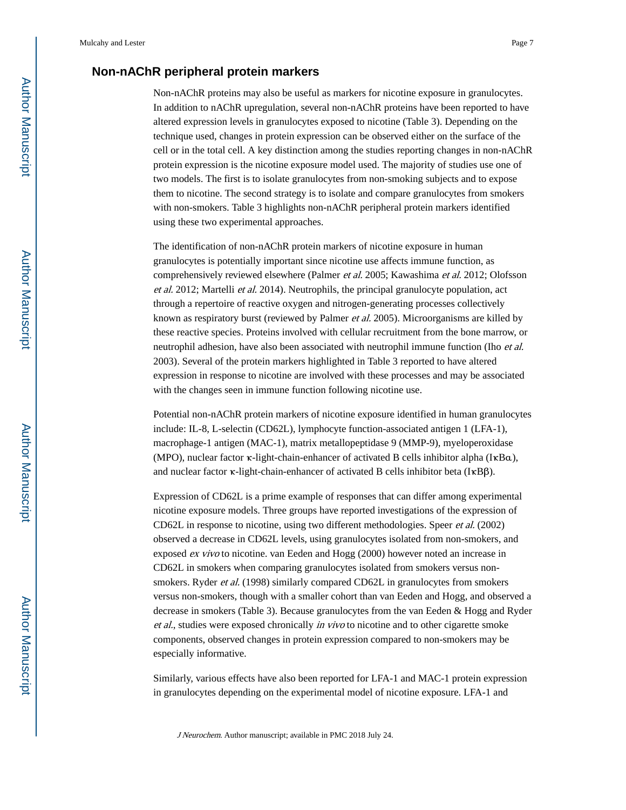#### **Non-nAChR peripheral protein markers**

Non-nAChR proteins may also be useful as markers for nicotine exposure in granulocytes. In addition to nAChR upregulation, several non-nAChR proteins have been reported to have altered expression levels in granulocytes exposed to nicotine (Table 3). Depending on the technique used, changes in protein expression can be observed either on the surface of the cell or in the total cell. A key distinction among the studies reporting changes in non-nAChR protein expression is the nicotine exposure model used. The majority of studies use one of two models. The first is to isolate granulocytes from non-smoking subjects and to expose them to nicotine. The second strategy is to isolate and compare granulocytes from smokers with non-smokers. Table 3 highlights non-nAChR peripheral protein markers identified using these two experimental approaches.

The identification of non-nAChR protein markers of nicotine exposure in human granulocytes is potentially important since nicotine use affects immune function, as comprehensively reviewed elsewhere (Palmer et al. 2005; Kawashima et al. 2012; Olofsson et al. 2012; Martelli et al. 2014). Neutrophils, the principal granulocyte population, act through a repertoire of reactive oxygen and nitrogen-generating processes collectively known as respiratory burst (reviewed by Palmer et al. 2005). Microorganisms are killed by these reactive species. Proteins involved with cellular recruitment from the bone marrow, or neutrophil adhesion, have also been associated with neutrophil immune function (Iho *et al.*) 2003). Several of the protein markers highlighted in Table 3 reported to have altered expression in response to nicotine are involved with these processes and may be associated with the changes seen in immune function following nicotine use.

Potential non-nAChR protein markers of nicotine exposure identified in human granulocytes include: IL-8, L-selectin (CD62L), lymphocyte function-associated antigen 1 (LFA-1), macrophage-1 antigen (MAC-1), matrix metallopeptidase 9 (MMP-9), myeloperoxidase (MPO), nuclear factor κ-light-chain-enhancer of activated B cells inhibitor alpha (IκBα), and nuclear factor κ-light-chain-enhancer of activated B cells inhibitor beta (IκBβ).

Expression of CD62L is a prime example of responses that can differ among experimental nicotine exposure models. Three groups have reported investigations of the expression of CD62L in response to nicotine, using two different methodologies. Speer et al. (2002) observed a decrease in CD62L levels, using granulocytes isolated from non-smokers, and exposed ex vivo to nicotine. van Eeden and Hogg (2000) however noted an increase in CD62L in smokers when comparing granulocytes isolated from smokers versus nonsmokers. Ryder et al. (1998) similarly compared CD62L in granulocytes from smokers versus non-smokers, though with a smaller cohort than van Eeden and Hogg, and observed a decrease in smokers (Table 3). Because granulocytes from the van Eeden & Hogg and Ryder et al., studies were exposed chronically in vivo to nicotine and to other cigarette smoke components, observed changes in protein expression compared to non-smokers may be especially informative.

Similarly, various effects have also been reported for LFA-1 and MAC-1 protein expression in granulocytes depending on the experimental model of nicotine exposure. LFA-1 and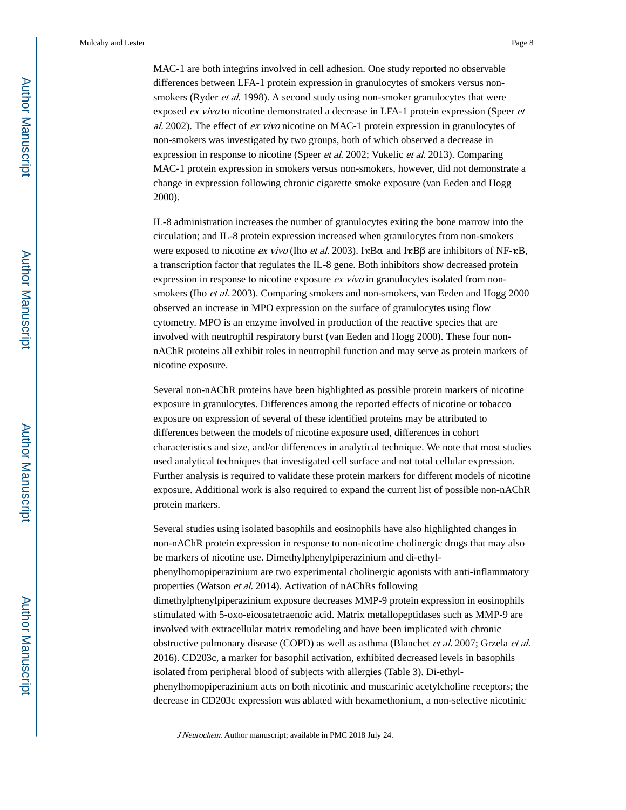MAC-1 are both integrins involved in cell adhesion. One study reported no observable differences between LFA-1 protein expression in granulocytes of smokers versus nonsmokers (Ryder *et al.* 1998). A second study using non-smoker granulocytes that were exposed ex vivo to nicotine demonstrated a decrease in LFA-1 protein expression (Speer et al. 2002). The effect of ex vivo nicotine on MAC-1 protein expression in granulocytes of non-smokers was investigated by two groups, both of which observed a decrease in expression in response to nicotine (Speer *et al.* 2002; Vukelic *et al.* 2013). Comparing MAC-1 protein expression in smokers versus non-smokers, however, did not demonstrate a change in expression following chronic cigarette smoke exposure (van Eeden and Hogg 2000).

IL-8 administration increases the number of granulocytes exiting the bone marrow into the circulation; and IL-8 protein expression increased when granulocytes from non-smokers were exposed to nicotine *ex vivo* (Iho *et al.* 2003). I $\kappa$ Bα and I $\kappa$ Bβ are inhibitors of NF- $\kappa$ B, a transcription factor that regulates the IL-8 gene. Both inhibitors show decreased protein expression in response to nicotine exposure *ex vivo* in granulocytes isolated from nonsmokers (Iho et al. 2003). Comparing smokers and non-smokers, van Eeden and Hogg 2000 observed an increase in MPO expression on the surface of granulocytes using flow cytometry. MPO is an enzyme involved in production of the reactive species that are involved with neutrophil respiratory burst (van Eeden and Hogg 2000). These four nonnAChR proteins all exhibit roles in neutrophil function and may serve as protein markers of nicotine exposure.

Several non-nAChR proteins have been highlighted as possible protein markers of nicotine exposure in granulocytes. Differences among the reported effects of nicotine or tobacco exposure on expression of several of these identified proteins may be attributed to differences between the models of nicotine exposure used, differences in cohort characteristics and size, and/or differences in analytical technique. We note that most studies used analytical techniques that investigated cell surface and not total cellular expression. Further analysis is required to validate these protein markers for different models of nicotine exposure. Additional work is also required to expand the current list of possible non-nAChR protein markers.

Several studies using isolated basophils and eosinophils have also highlighted changes in non-nAChR protein expression in response to non-nicotine cholinergic drugs that may also be markers of nicotine use. Dimethylphenylpiperazinium and di-ethylphenylhomopiperazinium are two experimental cholinergic agonists with anti-inflammatory properties (Watson et al. 2014). Activation of nAChRs following dimethylphenylpiperazinium exposure decreases MMP-9 protein expression in eosinophils stimulated with 5-oxo-eicosatetraenoic acid. Matrix metallopeptidases such as MMP-9 are involved with extracellular matrix remodeling and have been implicated with chronic obstructive pulmonary disease (COPD) as well as asthma (Blanchet et al. 2007; Grzela et al. 2016). CD203c, a marker for basophil activation, exhibited decreased levels in basophils isolated from peripheral blood of subjects with allergies (Table 3). Di-ethylphenylhomopiperazinium acts on both nicotinic and muscarinic acetylcholine receptors; the decrease in CD203c expression was ablated with hexamethonium, a non-selective nicotinic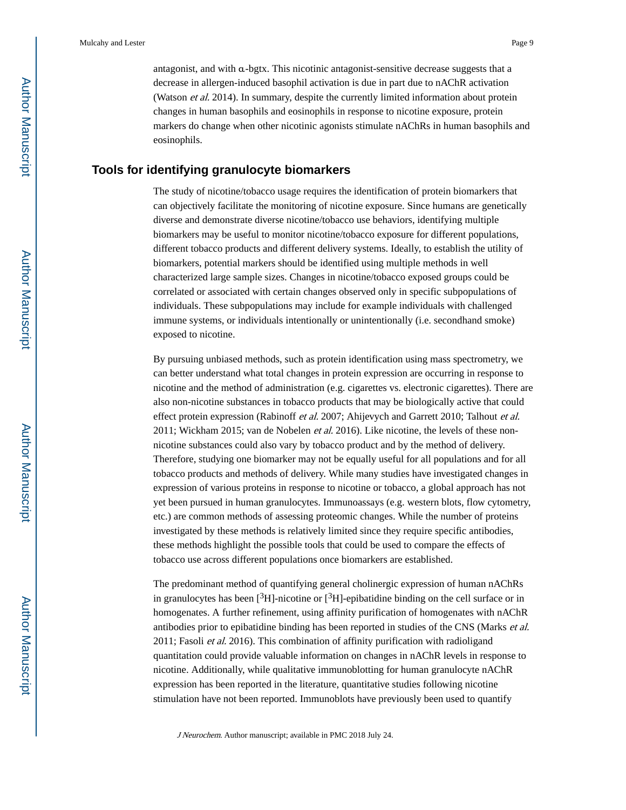antagonist, and with  $\alpha$ -bgtx. This nicotinic antagonist-sensitive decrease suggests that a decrease in allergen-induced basophil activation is due in part due to nAChR activation (Watson et al. 2014). In summary, despite the currently limited information about protein changes in human basophils and eosinophils in response to nicotine exposure, protein markers do change when other nicotinic agonists stimulate nAChRs in human basophils and eosinophils.

#### **Tools for identifying granulocyte biomarkers**

The study of nicotine/tobacco usage requires the identification of protein biomarkers that can objectively facilitate the monitoring of nicotine exposure. Since humans are genetically diverse and demonstrate diverse nicotine/tobacco use behaviors, identifying multiple biomarkers may be useful to monitor nicotine/tobacco exposure for different populations, different tobacco products and different delivery systems. Ideally, to establish the utility of biomarkers, potential markers should be identified using multiple methods in well characterized large sample sizes. Changes in nicotine/tobacco exposed groups could be correlated or associated with certain changes observed only in specific subpopulations of individuals. These subpopulations may include for example individuals with challenged immune systems, or individuals intentionally or unintentionally (i.e. secondhand smoke) exposed to nicotine.

By pursuing unbiased methods, such as protein identification using mass spectrometry, we can better understand what total changes in protein expression are occurring in response to nicotine and the method of administration (e.g. cigarettes vs. electronic cigarettes). There are also non-nicotine substances in tobacco products that may be biologically active that could effect protein expression (Rabinoff et al. 2007; Ahijevych and Garrett 2010; Talhout et al. 2011; Wickham 2015; van de Nobelen *et al.* 2016). Like nicotine, the levels of these nonnicotine substances could also vary by tobacco product and by the method of delivery. Therefore, studying one biomarker may not be equally useful for all populations and for all tobacco products and methods of delivery. While many studies have investigated changes in expression of various proteins in response to nicotine or tobacco, a global approach has not yet been pursued in human granulocytes. Immunoassays (e.g. western blots, flow cytometry, etc.) are common methods of assessing proteomic changes. While the number of proteins investigated by these methods is relatively limited since they require specific antibodies, these methods highlight the possible tools that could be used to compare the effects of tobacco use across different populations once biomarkers are established.

The predominant method of quantifying general cholinergic expression of human nAChRs in granulocytes has been  $\left[3H\right]$ -nicotine or  $\left[3H\right]$ -epibatidine binding on the cell surface or in homogenates. A further refinement, using affinity purification of homogenates with nAChR antibodies prior to epibatidine binding has been reported in studies of the CNS (Marks et al. 2011; Fasoli et al. 2016). This combination of affinity purification with radioligand quantitation could provide valuable information on changes in nAChR levels in response to nicotine. Additionally, while qualitative immunoblotting for human granulocyte nAChR expression has been reported in the literature, quantitative studies following nicotine stimulation have not been reported. Immunoblots have previously been used to quantify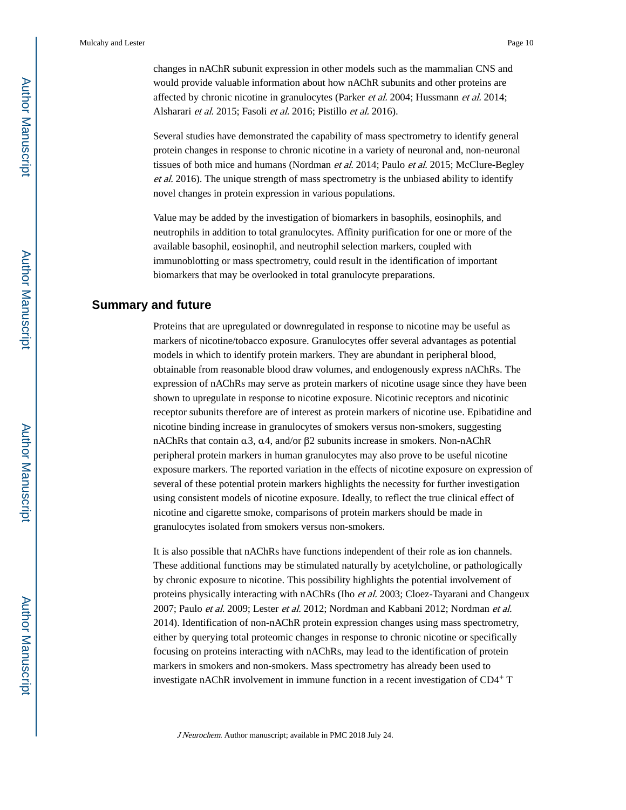changes in nAChR subunit expression in other models such as the mammalian CNS and would provide valuable information about how nAChR subunits and other proteins are affected by chronic nicotine in granulocytes (Parker et al. 2004; Hussmann et al. 2014; Alsharari et al. 2015; Fasoli et al. 2016; Pistillo et al. 2016).

Several studies have demonstrated the capability of mass spectrometry to identify general protein changes in response to chronic nicotine in a variety of neuronal and, non-neuronal tissues of both mice and humans (Nordman *et al.* 2014; Paulo *et al.* 2015; McClure-Begley et al. 2016). The unique strength of mass spectrometry is the unbiased ability to identify novel changes in protein expression in various populations.

Value may be added by the investigation of biomarkers in basophils, eosinophils, and neutrophils in addition to total granulocytes. Affinity purification for one or more of the available basophil, eosinophil, and neutrophil selection markers, coupled with immunoblotting or mass spectrometry, could result in the identification of important biomarkers that may be overlooked in total granulocyte preparations.

#### **Summary and future**

Proteins that are upregulated or downregulated in response to nicotine may be useful as markers of nicotine/tobacco exposure. Granulocytes offer several advantages as potential models in which to identify protein markers. They are abundant in peripheral blood, obtainable from reasonable blood draw volumes, and endogenously express nAChRs. The expression of nAChRs may serve as protein markers of nicotine usage since they have been shown to upregulate in response to nicotine exposure. Nicotinic receptors and nicotinic receptor subunits therefore are of interest as protein markers of nicotine use. Epibatidine and nicotine binding increase in granulocytes of smokers versus non-smokers, suggesting nAChRs that contain α3, α4, and/or β2 subunits increase in smokers. Non-nAChR peripheral protein markers in human granulocytes may also prove to be useful nicotine exposure markers. The reported variation in the effects of nicotine exposure on expression of several of these potential protein markers highlights the necessity for further investigation using consistent models of nicotine exposure. Ideally, to reflect the true clinical effect of nicotine and cigarette smoke, comparisons of protein markers should be made in granulocytes isolated from smokers versus non-smokers.

It is also possible that nAChRs have functions independent of their role as ion channels. These additional functions may be stimulated naturally by acetylcholine, or pathologically by chronic exposure to nicotine. This possibility highlights the potential involvement of proteins physically interacting with nAChRs (Iho et al. 2003; Cloez-Tayarani and Changeux 2007; Paulo et al. 2009; Lester et al. 2012; Nordman and Kabbani 2012; Nordman et al. 2014). Identification of non-nAChR protein expression changes using mass spectrometry, either by querying total proteomic changes in response to chronic nicotine or specifically focusing on proteins interacting with nAChRs, may lead to the identification of protein markers in smokers and non-smokers. Mass spectrometry has already been used to investigate nAChR involvement in immune function in a recent investigation of CD4+ T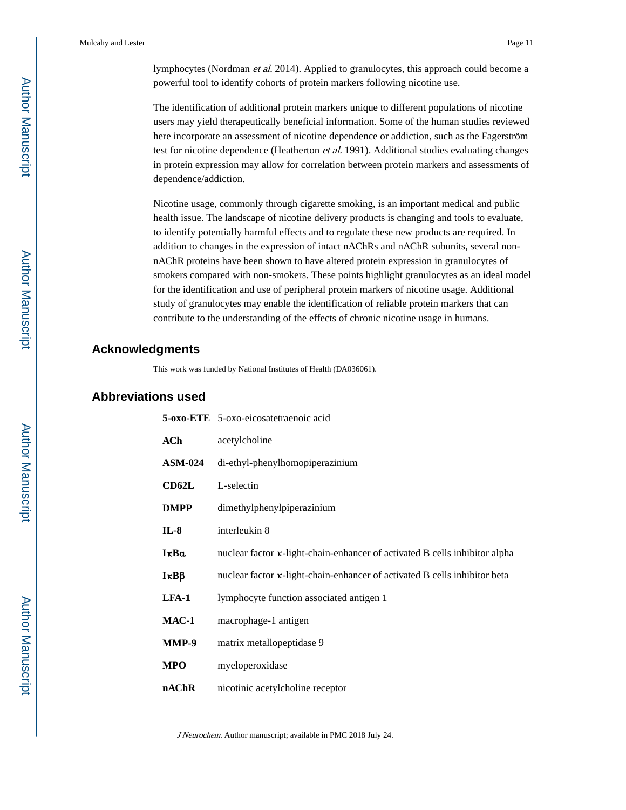lymphocytes (Nordman et al. 2014). Applied to granulocytes, this approach could become a powerful tool to identify cohorts of protein markers following nicotine use.

The identification of additional protein markers unique to different populations of nicotine users may yield therapeutically beneficial information. Some of the human studies reviewed here incorporate an assessment of nicotine dependence or addiction, such as the Fagerström test for nicotine dependence (Heatherton *et al.* 1991). Additional studies evaluating changes in protein expression may allow for correlation between protein markers and assessments of dependence/addiction.

Nicotine usage, commonly through cigarette smoking, is an important medical and public health issue. The landscape of nicotine delivery products is changing and tools to evaluate, to identify potentially harmful effects and to regulate these new products are required. In addition to changes in the expression of intact nAChRs and nAChR subunits, several nonnAChR proteins have been shown to have altered protein expression in granulocytes of smokers compared with non-smokers. These points highlight granulocytes as an ideal model for the identification and use of peripheral protein markers of nicotine usage. Additional study of granulocytes may enable the identification of reliable protein markers that can contribute to the understanding of the effects of chronic nicotine usage in humans.

#### **Acknowledgments**

This work was funded by National Institutes of Health (DA036061).

#### **Abbreviations used**

|                  | 5-oxo-ETE 5-oxo-eicosatetraenoic acid                                              |
|------------------|------------------------------------------------------------------------------------|
| <b>ACh</b>       | acetylcholine                                                                      |
| <b>ASM-024</b>   | di-ethyl-phenylhomopiperazinium                                                    |
| CD62L            | L-selectin                                                                         |
| <b>DMPP</b>      | dimethylphenylpiperazinium                                                         |
| $IL-8$           | interleukin 8                                                                      |
| IkBa             | nuclear factor $\kappa$ -light-chain-enhancer of activated B cells inhibitor alpha |
| $I\kappa B\beta$ | nuclear factor $\kappa$ -light-chain-enhancer of activated B cells inhibitor beta  |
| LFA-1            | lymphocyte function associated antigen 1                                           |
| $MAC-1$          | macrophage-1 antigen                                                               |
| MMP-9            | matrix metallopeptidase 9                                                          |
| <b>MPO</b>       | myeloperoxidase                                                                    |
| nAChR            | nicotinic acetylcholine receptor                                                   |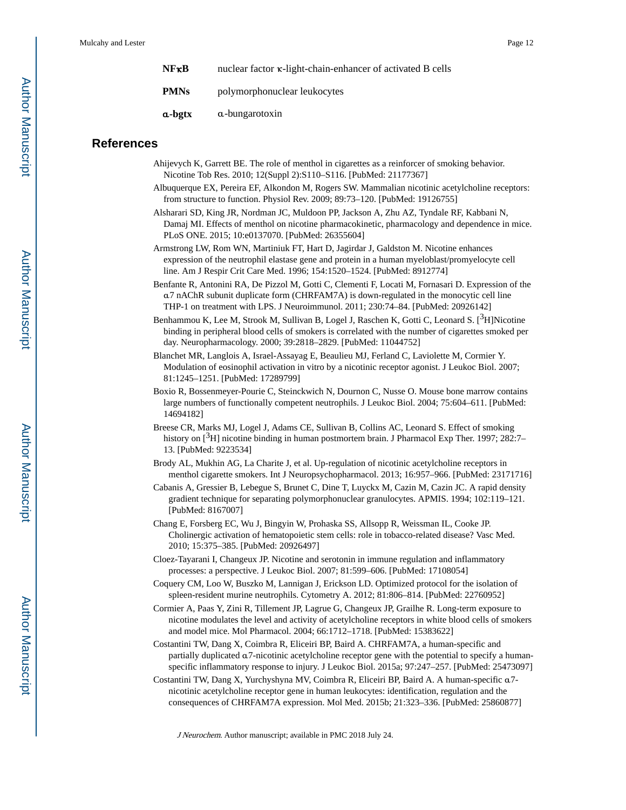| $N$ $F$ $\kappa$ $B$ | nuclear factor $\kappa$ -light-chain-enhancer of activated B cells |
|----------------------|--------------------------------------------------------------------|
| <b>PMNs</b>          | polymorphonuclear leukocytes                                       |
| a-bgtx               | a-bungarotoxin                                                     |

#### **References**

- Ahijevych K, Garrett BE. The role of menthol in cigarettes as a reinforcer of smoking behavior. Nicotine Tob Res. 2010; 12(Suppl 2):S110–S116. [PubMed: 21177367]
- Albuquerque EX, Pereira EF, Alkondon M, Rogers SW. Mammalian nicotinic acetylcholine receptors: from structure to function. Physiol Rev. 2009; 89:73–120. [PubMed: 19126755]
- Alsharari SD, King JR, Nordman JC, Muldoon PP, Jackson A, Zhu AZ, Tyndale RF, Kabbani N, Damaj MI. Effects of menthol on nicotine pharmacokinetic, pharmacology and dependence in mice. PLoS ONE. 2015; 10:e0137070. [PubMed: 26355604]
- Armstrong LW, Rom WN, Martiniuk FT, Hart D, Jagirdar J, Galdston M. Nicotine enhances expression of the neutrophil elastase gene and protein in a human myeloblast/promyelocyte cell line. Am J Respir Crit Care Med. 1996; 154:1520–1524. [PubMed: 8912774]
- Benfante R, Antonini RA, De Pizzol M, Gotti C, Clementi F, Locati M, Fornasari D. Expression of the α7 nAChR subunit duplicate form (CHRFAM7A) is down-regulated in the monocytic cell line THP-1 on treatment with LPS. J Neuroimmunol. 2011; 230:74–84. [PubMed: 20926142]
- Benhammou K, Lee M, Strook M, Sullivan B, Logel J, Raschen K, Gotti C, Leonard S. [<sup>3</sup>H]Nicotine binding in peripheral blood cells of smokers is correlated with the number of cigarettes smoked per day. Neuropharmacology. 2000; 39:2818–2829. [PubMed: 11044752]
- Blanchet MR, Langlois A, Israel-Assayag E, Beaulieu MJ, Ferland C, Laviolette M, Cormier Y. Modulation of eosinophil activation in vitro by a nicotinic receptor agonist. J Leukoc Biol. 2007; 81:1245–1251. [PubMed: 17289799]
- Boxio R, Bossenmeyer-Pourie C, Steinckwich N, Dournon C, Nusse O. Mouse bone marrow contains large numbers of functionally competent neutrophils. J Leukoc Biol. 2004; 75:604–611. [PubMed: 14694182]
- Breese CR, Marks MJ, Logel J, Adams CE, Sullivan B, Collins AC, Leonard S. Effect of smoking history on [<sup>3</sup>H] nicotine binding in human postmortem brain. J Pharmacol Exp Ther. 1997; 282:7– 13. [PubMed: 9223534]
- Brody AL, Mukhin AG, La Charite J, et al. Up-regulation of nicotinic acetylcholine receptors in menthol cigarette smokers. Int J Neuropsychopharmacol. 2013; 16:957–966. [PubMed: 23171716]
- Cabanis A, Gressier B, Lebegue S, Brunet C, Dine T, Luyckx M, Cazin M, Cazin JC. A rapid density gradient technique for separating polymorphonuclear granulocytes. APMIS. 1994; 102:119–121. [PubMed: 8167007]
- Chang E, Forsberg EC, Wu J, Bingyin W, Prohaska SS, Allsopp R, Weissman IL, Cooke JP. Cholinergic activation of hematopoietic stem cells: role in tobacco-related disease? Vasc Med. 2010; 15:375–385. [PubMed: 20926497]
- Cloez-Tayarani I, Changeux JP. Nicotine and serotonin in immune regulation and inflammatory processes: a perspective. J Leukoc Biol. 2007; 81:599–606. [PubMed: 17108054]
- Coquery CM, Loo W, Buszko M, Lannigan J, Erickson LD. Optimized protocol for the isolation of spleen-resident murine neutrophils. Cytometry A. 2012; 81:806–814. [PubMed: 22760952]
- Cormier A, Paas Y, Zini R, Tillement JP, Lagrue G, Changeux JP, Grailhe R. Long-term exposure to nicotine modulates the level and activity of acetylcholine receptors in white blood cells of smokers and model mice. Mol Pharmacol. 2004; 66:1712–1718. [PubMed: 15383622]
- Costantini TW, Dang X, Coimbra R, Eliceiri BP, Baird A. CHRFAM7A, a human-specific and partially duplicated α7-nicotinic acetylcholine receptor gene with the potential to specify a humanspecific inflammatory response to injury. J Leukoc Biol. 2015a; 97:247–257. [PubMed: 25473097]
- Costantini TW, Dang X, Yurchyshyna MV, Coimbra R, Eliceiri BP, Baird A. A human-specific α7 nicotinic acetylcholine receptor gene in human leukocytes: identification, regulation and the consequences of CHRFAM7A expression. Mol Med. 2015b; 21:323–336. [PubMed: 25860877]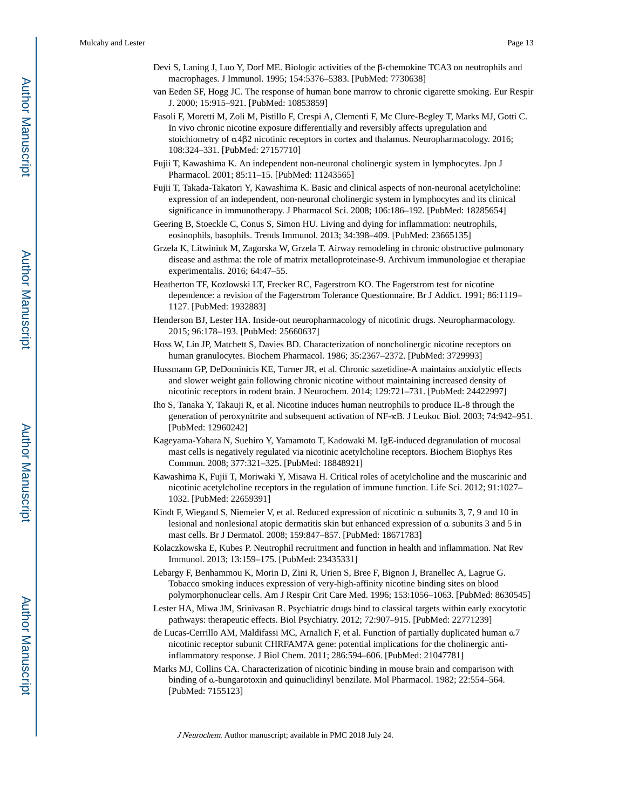- Devi S, Laning J, Luo Y, Dorf ME. Biologic activities of the β-chemokine TCA3 on neutrophils and macrophages. J Immunol. 1995; 154:5376–5383. [PubMed: 7730638]
- van Eeden SF, Hogg JC. The response of human bone marrow to chronic cigarette smoking. Eur Respir J. 2000; 15:915–921. [PubMed: 10853859]
- Fasoli F, Moretti M, Zoli M, Pistillo F, Crespi A, Clementi F, Mc Clure-Begley T, Marks MJ, Gotti C. In vivo chronic nicotine exposure differentially and reversibly affects upregulation and stoichiometry of α4β2 nicotinic receptors in cortex and thalamus. Neuropharmacology. 2016; 108:324–331. [PubMed: 27157710]
- Fujii T, Kawashima K. An independent non-neuronal cholinergic system in lymphocytes. Jpn J Pharmacol. 2001; 85:11–15. [PubMed: 11243565]
- Fujii T, Takada-Takatori Y, Kawashima K. Basic and clinical aspects of non-neuronal acetylcholine: expression of an independent, non-neuronal cholinergic system in lymphocytes and its clinical significance in immunotherapy. J Pharmacol Sci. 2008; 106:186–192. [PubMed: 18285654]
- Geering B, Stoeckle C, Conus S, Simon HU. Living and dying for inflammation: neutrophils, eosinophils, basophils. Trends Immunol. 2013; 34:398–409. [PubMed: 23665135]
- Grzela K, Litwiniuk M, Zagorska W, Grzela T. Airway remodeling in chronic obstructive pulmonary disease and asthma: the role of matrix metalloproteinase-9. Archivum immunologiae et therapiae experimentalis. 2016; 64:47–55.
- Heatherton TF, Kozlowski LT, Frecker RC, Fagerstrom KO. The Fagerstrom test for nicotine dependence: a revision of the Fagerstrom Tolerance Questionnaire. Br J Addict. 1991; 86:1119– 1127. [PubMed: 1932883]
- Henderson BJ, Lester HA. Inside-out neuropharmacology of nicotinic drugs. Neuropharmacology. 2015; 96:178–193. [PubMed: 25660637]
- Hoss W, Lin JP, Matchett S, Davies BD. Characterization of noncholinergic nicotine receptors on human granulocytes. Biochem Pharmacol. 1986; 35:2367–2372. [PubMed: 3729993]
- Hussmann GP, DeDominicis KE, Turner JR, et al. Chronic sazetidine-A maintains anxiolytic effects and slower weight gain following chronic nicotine without maintaining increased density of nicotinic receptors in rodent brain. J Neurochem. 2014; 129:721–731. [PubMed: 24422997]
- Iho S, Tanaka Y, Takauji R, et al. Nicotine induces human neutrophils to produce IL-8 through the generation of peroxynitrite and subsequent activation of NF-κB. J Leukoc Biol. 2003; 74:942–951. [PubMed: 12960242]
- Kageyama-Yahara N, Suehiro Y, Yamamoto T, Kadowaki M. IgE-induced degranulation of mucosal mast cells is negatively regulated via nicotinic acetylcholine receptors. Biochem Biophys Res Commun. 2008; 377:321–325. [PubMed: 18848921]
- Kawashima K, Fujii T, Moriwaki Y, Misawa H. Critical roles of acetylcholine and the muscarinic and nicotinic acetylcholine receptors in the regulation of immune function. Life Sci. 2012; 91:1027– 1032. [PubMed: 22659391]
- Kindt F, Wiegand S, Niemeier V, et al. Reduced expression of nicotinic α subunits 3, 7, 9 and 10 in lesional and nonlesional atopic dermatitis skin but enhanced expression of α subunits 3 and 5 in mast cells. Br J Dermatol. 2008; 159:847–857. [PubMed: 18671783]
- Kolaczkowska E, Kubes P. Neutrophil recruitment and function in health and inflammation. Nat Rev Immunol. 2013; 13:159–175. [PubMed: 23435331]
- Lebargy F, Benhammou K, Morin D, Zini R, Urien S, Bree F, Bignon J, Branellec A, Lagrue G. Tobacco smoking induces expression of very-high-affinity nicotine binding sites on blood polymorphonuclear cells. Am J Respir Crit Care Med. 1996; 153:1056–1063. [PubMed: 8630545]
- Lester HA, Miwa JM, Srinivasan R. Psychiatric drugs bind to classical targets within early exocytotic pathways: therapeutic effects. Biol Psychiatry. 2012; 72:907–915. [PubMed: 22771239]
- de Lucas-Cerrillo AM, Maldifassi MC, Arnalich F, et al. Function of partially duplicated human α7 nicotinic receptor subunit CHRFAM7A gene: potential implications for the cholinergic antiinflammatory response. J Biol Chem. 2011; 286:594–606. [PubMed: 21047781]
- Marks MJ, Collins CA. Characterization of nicotinic binding in mouse brain and comparison with binding of α-bungarotoxin and quinuclidinyl benzilate. Mol Pharmacol. 1982; 22:554–564. [PubMed: 7155123]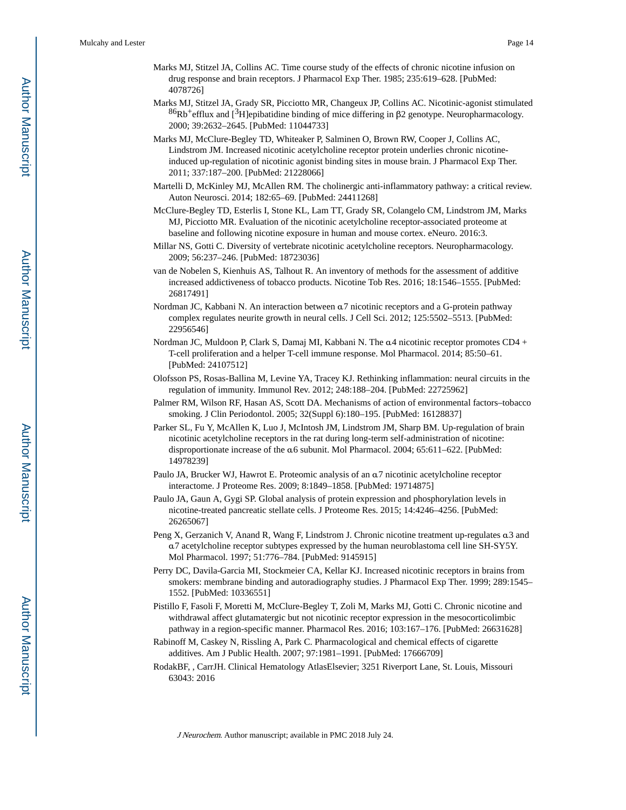- Marks MJ, Stitzel JA, Collins AC. Time course study of the effects of chronic nicotine infusion on drug response and brain receptors. J Pharmacol Exp Ther. 1985; 235:619–628. [PubMed: 4078726]
- Marks MJ, Stitzel JA, Grady SR, Picciotto MR, Changeux JP, Collins AC. Nicotinic-agonist stimulated  $86Rb+eff$ lux and [<sup>3</sup>H]epibatidine binding of mice differing in β2 genotype. Neuropharmacology. 2000; 39:2632–2645. [PubMed: 11044733]
- Marks MJ, McClure-Begley TD, Whiteaker P, Salminen O, Brown RW, Cooper J, Collins AC, Lindstrom JM. Increased nicotinic acetylcholine receptor protein underlies chronic nicotineinduced up-regulation of nicotinic agonist binding sites in mouse brain. J Pharmacol Exp Ther. 2011; 337:187–200. [PubMed: 21228066]
- Martelli D, McKinley MJ, McAllen RM. The cholinergic anti-inflammatory pathway: a critical review. Auton Neurosci. 2014; 182:65–69. [PubMed: 24411268]
- McClure-Begley TD, Esterlis I, Stone KL, Lam TT, Grady SR, Colangelo CM, Lindstrom JM, Marks MJ, Picciotto MR. Evaluation of the nicotinic acetylcholine receptor-associated proteome at baseline and following nicotine exposure in human and mouse cortex. eNeuro. 2016:3.
- Millar NS, Gotti C. Diversity of vertebrate nicotinic acetylcholine receptors. Neuropharmacology. 2009; 56:237–246. [PubMed: 18723036]
- van de Nobelen S, Kienhuis AS, Talhout R. An inventory of methods for the assessment of additive increased addictiveness of tobacco products. Nicotine Tob Res. 2016; 18:1546–1555. [PubMed: 26817491]
- Nordman JC, Kabbani N. An interaction between α7 nicotinic receptors and a G-protein pathway complex regulates neurite growth in neural cells. J Cell Sci. 2012; 125:5502–5513. [PubMed: 22956546]
- Nordman JC, Muldoon P, Clark S, Damaj MI, Kabbani N. The α4 nicotinic receptor promotes CD4 + T-cell proliferation and a helper T-cell immune response. Mol Pharmacol. 2014; 85:50–61. [PubMed: 24107512]
- Olofsson PS, Rosas-Ballina M, Levine YA, Tracey KJ. Rethinking inflammation: neural circuits in the regulation of immunity. Immunol Rev. 2012; 248:188–204. [PubMed: 22725962]
- Palmer RM, Wilson RF, Hasan AS, Scott DA. Mechanisms of action of environmental factors–tobacco smoking. J Clin Periodontol. 2005; 32(Suppl 6):180–195. [PubMed: 16128837]
- Parker SL, Fu Y, McAllen K, Luo J, McIntosh JM, Lindstrom JM, Sharp BM. Up-regulation of brain nicotinic acetylcholine receptors in the rat during long-term self-administration of nicotine: disproportionate increase of the α6 subunit. Mol Pharmacol. 2004; 65:611–622. [PubMed: 14978239]
- Paulo JA, Brucker WJ, Hawrot E. Proteomic analysis of an α7 nicotinic acetylcholine receptor interactome. J Proteome Res. 2009; 8:1849–1858. [PubMed: 19714875]
- Paulo JA, Gaun A, Gygi SP. Global analysis of protein expression and phosphorylation levels in nicotine-treated pancreatic stellate cells. J Proteome Res. 2015; 14:4246–4256. [PubMed: 26265067]
- Peng X, Gerzanich V, Anand R, Wang F, Lindstrom J. Chronic nicotine treatment up-regulates α3 and α7 acetylcholine receptor subtypes expressed by the human neuroblastoma cell line SH-SY5Y. Mol Pharmacol. 1997; 51:776–784. [PubMed: 9145915]
- Perry DC, Davila-Garcia MI, Stockmeier CA, Kellar KJ. Increased nicotinic receptors in brains from smokers: membrane binding and autoradiography studies. J Pharmacol Exp Ther. 1999; 289:1545– 1552. [PubMed: 10336551]
- Pistillo F, Fasoli F, Moretti M, McClure-Begley T, Zoli M, Marks MJ, Gotti C. Chronic nicotine and withdrawal affect glutamatergic but not nicotinic receptor expression in the mesocorticolimbic pathway in a region-specific manner. Pharmacol Res. 2016; 103:167–176. [PubMed: 26631628]
- Rabinoff M, Caskey N, Rissling A, Park C. Pharmacological and chemical effects of cigarette additives. Am J Public Health. 2007; 97:1981–1991. [PubMed: 17666709]
- RodakBF, , CarrJH. Clinical Hematology AtlasElsevier; 3251 Riverport Lane, St. Louis, Missouri 63043: 2016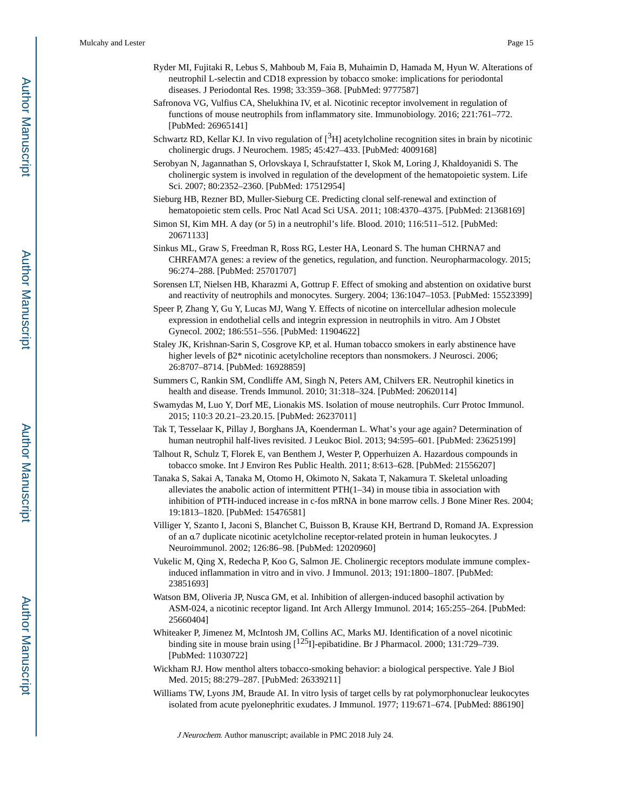- Ryder MI, Fujitaki R, Lebus S, Mahboub M, Faia B, Muhaimin D, Hamada M, Hyun W. Alterations of neutrophil L-selectin and CD18 expression by tobacco smoke: implications for periodontal diseases. J Periodontal Res. 1998; 33:359–368. [PubMed: 9777587]
- Safronova VG, Vulfius CA, Shelukhina IV, et al. Nicotinic receptor involvement in regulation of functions of mouse neutrophils from inflammatory site. Immunobiology. 2016; 221:761–772. [PubMed: 26965141]
- Schwartz RD, Kellar KJ. In vivo regulation of  $[3H]$  acetylcholine recognition sites in brain by nicotinic cholinergic drugs. J Neurochem. 1985; 45:427–433. [PubMed: 4009168]
- Serobyan N, Jagannathan S, Orlovskaya I, Schraufstatter I, Skok M, Loring J, Khaldoyanidi S. The cholinergic system is involved in regulation of the development of the hematopoietic system. Life Sci. 2007; 80:2352–2360. [PubMed: 17512954]
- Sieburg HB, Rezner BD, Muller-Sieburg CE. Predicting clonal self-renewal and extinction of hematopoietic stem cells. Proc Natl Acad Sci USA. 2011; 108:4370–4375. [PubMed: 21368169]
- Simon SI, Kim MH. A day (or 5) in a neutrophil's life. Blood. 2010; 116:511–512. [PubMed: 20671133]
- Sinkus ML, Graw S, Freedman R, Ross RG, Lester HA, Leonard S. The human CHRNA7 and CHRFAM7A genes: a review of the genetics, regulation, and function. Neuropharmacology. 2015; 96:274–288. [PubMed: 25701707]
- Sorensen LT, Nielsen HB, Kharazmi A, Gottrup F. Effect of smoking and abstention on oxidative burst and reactivity of neutrophils and monocytes. Surgery. 2004; 136:1047–1053. [PubMed: 15523399]
- Speer P, Zhang Y, Gu Y, Lucas MJ, Wang Y. Effects of nicotine on intercellular adhesion molecule expression in endothelial cells and integrin expression in neutrophils in vitro. Am J Obstet Gynecol. 2002; 186:551–556. [PubMed: 11904622]
- Staley JK, Krishnan-Sarin S, Cosgrove KP, et al. Human tobacco smokers in early abstinence have higher levels of β2\* nicotinic acetylcholine receptors than nonsmokers. J Neurosci. 2006; 26:8707–8714. [PubMed: 16928859]
- Summers C, Rankin SM, Condliffe AM, Singh N, Peters AM, Chilvers ER. Neutrophil kinetics in health and disease. Trends Immunol. 2010; 31:318–324. [PubMed: 20620114]
- Swamydas M, Luo Y, Dorf ME, Lionakis MS. Isolation of mouse neutrophils. Curr Protoc Immunol. 2015; 110:3 20.21–23.20.15. [PubMed: 26237011]
- Tak T, Tesselaar K, Pillay J, Borghans JA, Koenderman L. What's your age again? Determination of human neutrophil half-lives revisited. J Leukoc Biol. 2013; 94:595–601. [PubMed: 23625199]
- Talhout R, Schulz T, Florek E, van Benthem J, Wester P, Opperhuizen A. Hazardous compounds in tobacco smoke. Int J Environ Res Public Health. 2011; 8:613–628. [PubMed: 21556207]
- Tanaka S, Sakai A, Tanaka M, Otomo H, Okimoto N, Sakata T, Nakamura T. Skeletal unloading alleviates the anabolic action of intermittent  $PTH(1–34)$  in mouse tibia in association with inhibition of PTH-induced increase in c-fos mRNA in bone marrow cells. J Bone Miner Res. 2004; 19:1813–1820. [PubMed: 15476581]
- Villiger Y, Szanto I, Jaconi S, Blanchet C, Buisson B, Krause KH, Bertrand D, Romand JA. Expression of an α7 duplicate nicotinic acetylcholine receptor-related protein in human leukocytes. J Neuroimmunol. 2002; 126:86–98. [PubMed: 12020960]
- Vukelic M, Qing X, Redecha P, Koo G, Salmon JE. Cholinergic receptors modulate immune complexinduced inflammation in vitro and in vivo. J Immunol. 2013; 191:1800–1807. [PubMed: 23851693]
- Watson BM, Oliveria JP, Nusca GM, et al. Inhibition of allergen-induced basophil activation by ASM-024, a nicotinic receptor ligand. Int Arch Allergy Immunol. 2014; 165:255–264. [PubMed: 25660404]
- Whiteaker P, Jimenez M, McIntosh JM, Collins AC, Marks MJ. Identification of a novel nicotinic binding site in mouse brain using [<sup>125</sup>I]-epibatidine. Br J Pharmacol. 2000; 131:729-739. [PubMed: 11030722]
- Wickham RJ. How menthol alters tobacco-smoking behavior: a biological perspective. Yale J Biol Med. 2015; 88:279–287. [PubMed: 26339211]
- Williams TW, Lyons JM, Braude AI. In vitro lysis of target cells by rat polymorphonuclear leukocytes isolated from acute pyelonephritic exudates. J Immunol. 1977; 119:671–674. [PubMed: 886190]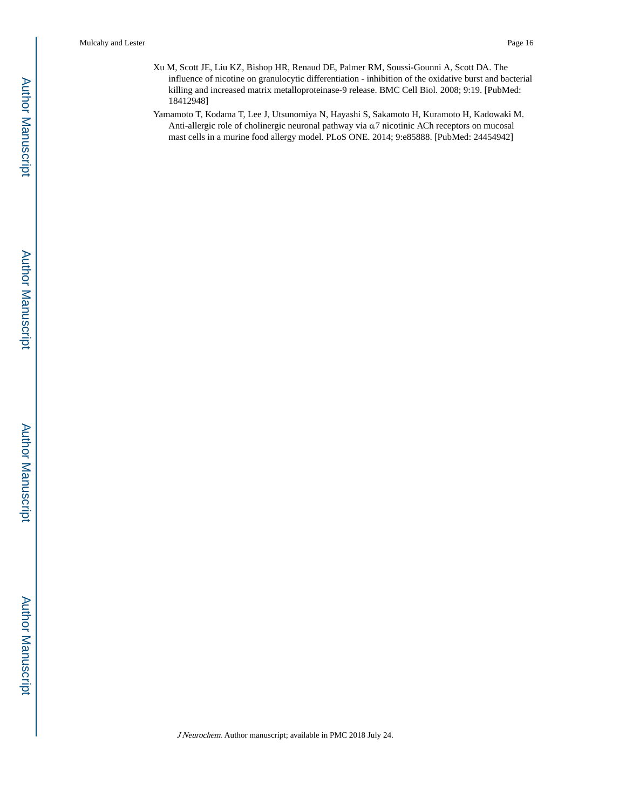- Xu M, Scott JE, Liu KZ, Bishop HR, Renaud DE, Palmer RM, Soussi-Gounni A, Scott DA. The influence of nicotine on granulocytic differentiation - inhibition of the oxidative burst and bacterial killing and increased matrix metalloproteinase-9 release. BMC Cell Biol. 2008; 9:19. [PubMed: 18412948]
- Yamamoto T, Kodama T, Lee J, Utsunomiya N, Hayashi S, Sakamoto H, Kuramoto H, Kadowaki M. Anti-allergic role of cholinergic neuronal pathway via α7 nicotinic ACh receptors on mucosal mast cells in a murine food allergy model. PLoS ONE. 2014; 9:e85888. [PubMed: 24454942]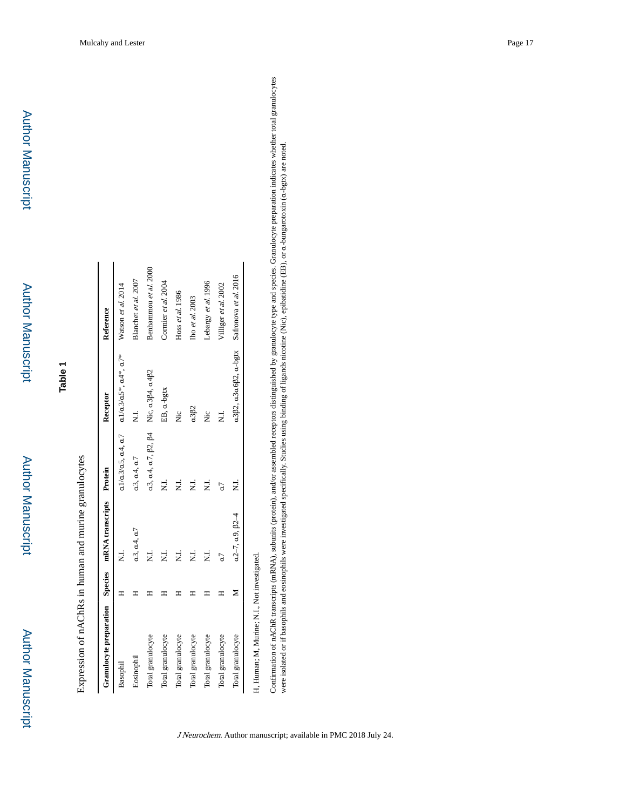# **Table 1**

Expression of nAChRs in human and murine granulocytes Expression of nAChRs in human and murine granulocytes

| Granulocyte preparation Species mRNA transcripts Protein |   |                    |                                                        | Receptor                                                                        | Reference             |
|----------------------------------------------------------|---|--------------------|--------------------------------------------------------|---------------------------------------------------------------------------------|-----------------------|
| Basophil                                                 |   | 5<br>N             |                                                        | $a1/a3/a5$ , $a4$ , $a7$ $a1/a3/a5$ *, $a4$ *, $a7$ * Watson <i>et al.</i> 2014 |                       |
| Eosinophil                                               |   | $a3$ , $a4$ , $a7$ | $a3$ , $a4$ , $a7$                                     | $\vec{z}$                                                                       | Blanchet et al. 2007  |
| Total granulocyte                                        |   | $\vec{z}$          | $a3, a4, a7, \beta2, \beta4$ Nic, $a3\beta4, a4\beta2$ |                                                                                 | Benhammou et al. 2000 |
| Total granulocyte                                        |   | $\vec{z}$          |                                                        | EB, a-bgtx                                                                      | Cormier et al. 2004   |
| Total granulocyte                                        |   | $\vec{z}$          |                                                        | ż                                                                               | Hoss et al. 1986      |
| Total granulocyte                                        |   | $\vec{z}$          |                                                        | $a3\beta2$                                                                      | Tho et al. 2003       |
| Total granulocyte                                        |   | $\vec{z}$          | 2i                                                     | Χiρ                                                                             | Lebargy et al. 1996   |
| Total granulocyte                                        |   | a7                 | G                                                      | i<br>Z                                                                          | Villiger et al. 2002  |
| Total granulocyte                                        | ⋝ | $a2-7, a9, B2-4$   | ż                                                      | α3β2, α3α6β2, α-bgtx Safronova et al. 2016                                      |                       |

H, Human; M, Murine; N.I., Not investigated. H, Human; M, Murine; N.I., Not investigat Confirmation of nAChR transcripts (mRNA), subunits (protein), and/or assembled receptors distinguished by granulocyte type and species. Granulocyte preparation indicates whether total granulocytes<br>were isolated or if basop Confirmation of nAChR transcripts (mRNA), subunits (protein), and/or assembled receptors distinguished by granulocyte type and species. Granulocyte preparation indicates whether total granulocytes were isolated or if basophils and eosinophils were investigated specifically. Studies using binding of ligands nicotine (Nic), epibatidine (EB), or α-bungarotoxin (α-bgtx) are noted.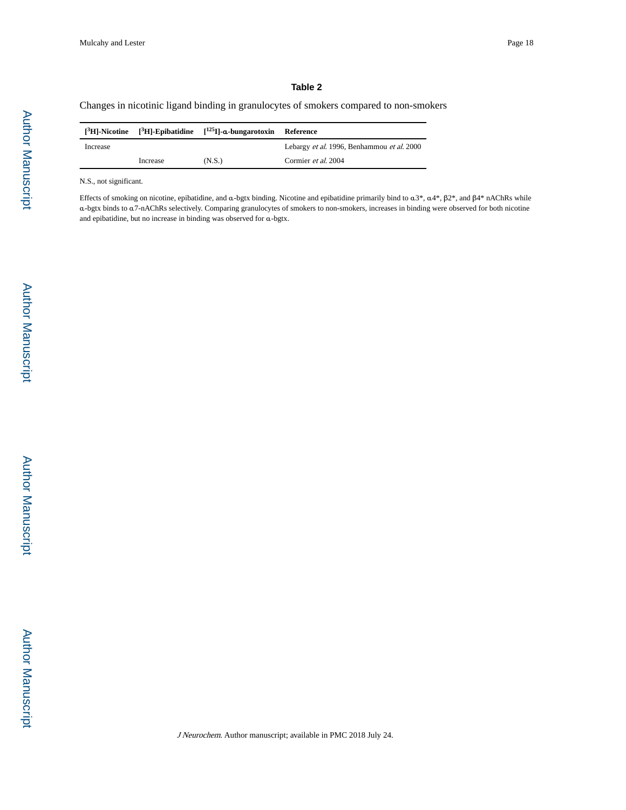#### **Table 2**

Changes in nicotinic ligand binding in granulocytes of smokers compared to non-smokers

|          |          | $[{}^{3}H]$ -Nicotine $[{}^{3}H]$ -Epibatidine $[{}^{125}I]$ -a-bungarotoxin | Reference                                                |
|----------|----------|------------------------------------------------------------------------------|----------------------------------------------------------|
| Increase |          |                                                                              | Lebargy <i>et al.</i> 1996, Benhammou <i>et al.</i> 2000 |
|          | Increase | (N.S.)                                                                       | Cormier <i>et al.</i> 2004                               |

N.S., not significant.

Effects of smoking on nicotine, epibatidine, and α-bgtx binding. Nicotine and epibatidine primarily bind to α3\*, α4\*, β2\*, and β4\* nAChRs while α-bgtx binds to α7-nAChRs selectively. Comparing granulocytes of smokers to non-smokers, increases in binding were observed for both nicotine and epibatidine, but no increase in binding was observed for α-bgtx.